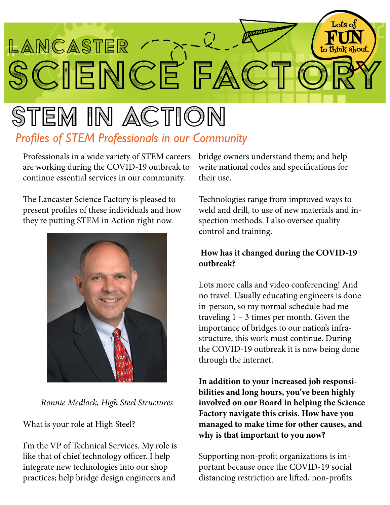

## stem in action *Profiles of STEM Professionals in our Community*

Professionals in a wide variety of STEM careers are working during the COVID-19 outbreak to continue essential services in our community.

The Lancaster Science Factory is pleased to present profiles of these individuals and how they're putting STEM in Action right now.



*Ronnie Medlock, High Steel Structures*

What is your role at High Steel?

I'm the VP of Technical Services. My role is like that of chief technology officer. I help integrate new technologies into our shop practices; help bridge design engineers and

bridge owners understand them; and help write national codes and specifications for their use.

Technologies range from improved ways to weld and drill, to use of new materials and inspection methods. I also oversee quality control and training.

## **How has it changed during the COVID-19 outbreak?**

Lots more calls and video conferencing! And no travel. Usually educating engineers is done in-person, so my normal schedule had me traveling 1 – 3 times per month. Given the importance of bridges to our nation's infrastructure, this work must continue. During the COVID-19 outbreak it is now being done through the internet.

**In addition to your increased job responsibilities and long hours, you've been highly involved on our Board in helping the Science Factory navigate this crisis. How have you managed to make time for other causes, and why is that important to you now?**

Supporting non-profit organizations is important because once the COVID-19 social distancing restriction are lifted, non-profits